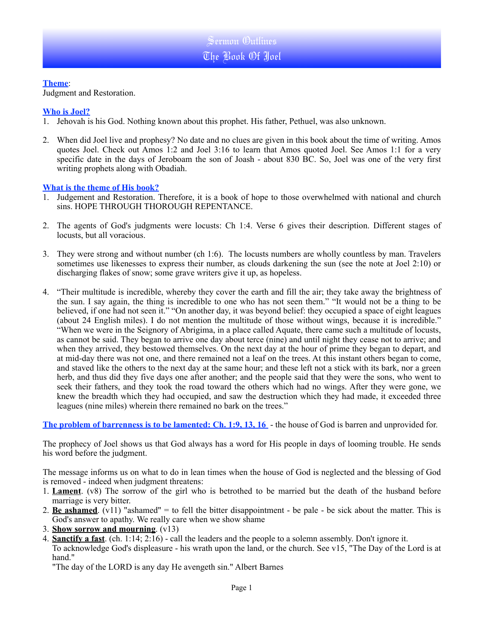#### **Theme**:

Judgment and Restoration.

### **Who is Joel?**

- 1. Jehovah is his God. Nothing known about this prophet. His father, Pethuel, was also unknown.
- 2. When did Joel live and prophesy? No date and no clues are given in this book about the time of writing. Amos quotes Joel. Check out Amos 1:2 and Joel 3:16 to learn that Amos quoted Joel. See Amos 1:1 for a very specific date in the days of Jeroboam the son of Joash - about 830 BC. So, Joel was one of the very first writing prophets along with Obadiah.

### **What is the theme of His book?**

- 1. Judgement and Restoration. Therefore, it is a book of hope to those overwhelmed with national and church sins. HOPE THROUGH THOROUGH REPENTANCE.
- 2. The agents of God's judgments were locusts: Ch 1:4. Verse 6 gives their description. Different stages of locusts, but all voracious.
- 3. They were strong and without number (ch 1:6). The locusts numbers are wholly countless by man. Travelers sometimes use likenesses to express their number, as clouds darkening the sun (see the note at Joel 2:10) or discharging flakes of snow; some grave writers give it up, as hopeless.
- 4. "Their multitude is incredible, whereby they cover the earth and fill the air; they take away the brightness of the sun. I say again, the thing is incredible to one who has not seen them." "It would not be a thing to be believed, if one had not seen it." "On another day, it was beyond belief: they occupied a space of eight leagues (about 24 English miles). I do not mention the multitude of those without wings, because it is incredible." "When we were in the Seignory of Abrigima, in a place called Aquate, there came such a multitude of locusts, as cannot be said. They began to arrive one day about terce (nine) and until night they cease not to arrive; and when they arrived, they bestowed themselves. On the next day at the hour of prime they began to depart, and at mid-day there was not one, and there remained not a leaf on the trees. At this instant others began to come, and staved like the others to the next day at the same hour; and these left not a stick with its bark, nor a green herb, and thus did they five days one after another; and the people said that they were the sons, who went to seek their fathers, and they took the road toward the others which had no wings. After they were gone, we knew the breadth which they had occupied, and saw the destruction which they had made, it exceeded three leagues (nine miles) wherein there remained no bark on the trees."

**The problem of barrenness is to be lamented: Ch. 1:9, 13, 16** - the house of God is barren and unprovided for.

The prophecy of Joel shows us that God always has a word for His people in days of looming trouble. He sends his word before the judgment.

The message informs us on what to do in lean times when the house of God is neglected and the blessing of God is removed - indeed when judgment threatens:

- 1. **Lament**. (v8) The sorrow of the girl who is betrothed to be married but the death of the husband before marriage is very bitter.
- 2. **Be ashamed**. (v11) "ashamed" = to fell the bitter disappointment be pale be sick about the matter. This is God's answer to apathy. We really care when we show shame
- 3. **Show sorrow and mourning**. (v13)
- 4. **Sanctify a fast**. (ch. 1:14; 2:16) call the leaders and the people to a solemn assembly. Don't ignore it.
- To acknowledge God's displeasure his wrath upon the land, or the church. See v15, "The Day of the Lord is at hand."

"The day of the LORD is any day He avengeth sin." Albert Barnes